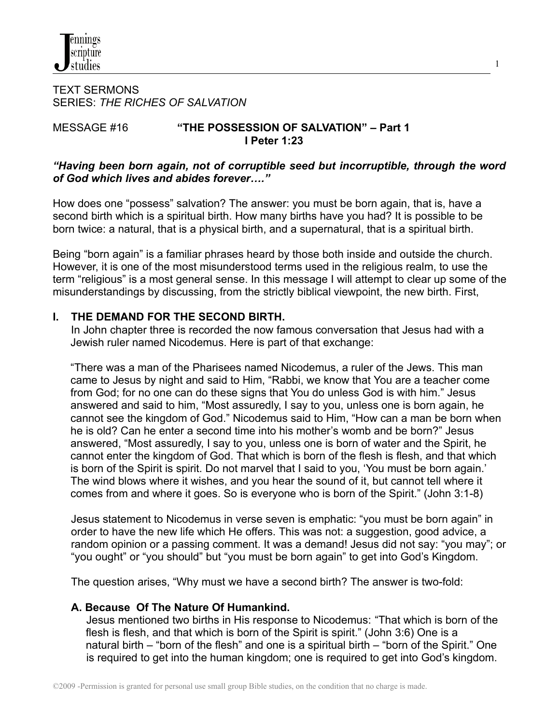TEXT SERMONS SERIES: *THE RICHES OF SALVATION*

# MESSAGE #16 **"THE POSSESSION OF SALVATION" – Part 1 I Peter 1:23**

## *"Having been born again, not of corruptible seed but incorruptible, through the word of God which lives and abides forever…."*

1

How does one "possess" salvation? The answer: you must be born again, that is, have a second birth which is a spiritual birth. How many births have you had? It is possible to be born twice: a natural, that is a physical birth, and a supernatural, that is a spiritual birth.

Being "born again" is a familiar phrases heard by those both inside and outside the church. However, it is one of the most misunderstood terms used in the religious realm, to use the term "religious" is a most general sense. In this message I will attempt to clear up some of the misunderstandings by discussing, from the strictly biblical viewpoint, the new birth. First,

## **I. THE DEMAND FOR THE SECOND BIRTH.**

In John chapter three is recorded the now famous conversation that Jesus had with a Jewish ruler named Nicodemus. Here is part of that exchange:

"There was a man of the Pharisees named Nicodemus, a ruler of the Jews. This man came to Jesus by night and said to Him, "Rabbi, we know that You are a teacher come from God; for no one can do these signs that You do unless God is with him." Jesus answered and said to him, "Most assuredly, I say to you, unless one is born again, he cannot see the kingdom of God." Nicodemus said to Him, "How can a man be born when he is old? Can he enter a second time into his mother's womb and be born?" Jesus answered, "Most assuredly, I say to you, unless one is born of water and the Spirit, he cannot enter the kingdom of God. That which is born of the flesh is flesh, and that which is born of the Spirit is spirit. Do not marvel that I said to you, 'You must be born again.' The wind blows where it wishes, and you hear the sound of it, but cannot tell where it comes from and where it goes. So is everyone who is born of the Spirit." (John 3:1-8)

Jesus statement to Nicodemus in verse seven is emphatic: "you must be born again" in order to have the new life which He offers. This was not: a suggestion, good advice, a random opinion or a passing comment. It was a demand! Jesus did not say: "you may"; or "you ought" or "you should" but "you must be born again" to get into God's Kingdom.

The question arises, "Why must we have a second birth? The answer is two-fold:

### **A. Because Of The Nature Of Humankind.**

Jesus mentioned two births in His response to Nicodemus: "That which is born of the flesh is flesh, and that which is born of the Spirit is spirit." (John 3:6) One is a natural birth – "born of the flesh" and one is a spiritual birth – "born of the Spirit." One is required to get into the human kingdom; one is required to get into God's kingdom.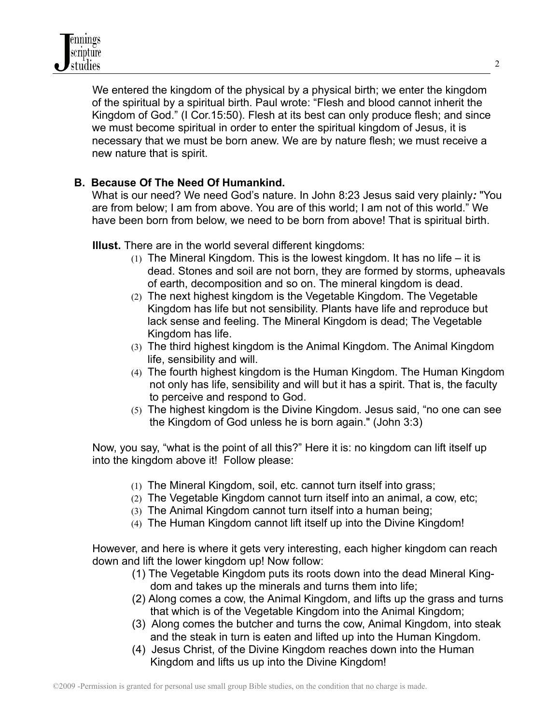

We entered the kingdom of the physical by a physical birth; we enter the kingdom of the spiritual by a spiritual birth. Paul wrote: "Flesh and blood cannot inherit the Kingdom of God." (I Cor.15:50). Flesh at its best can only produce flesh; and since we must become spiritual in order to enter the spiritual kingdom of Jesus, it is necessary that we must be born anew. We are by nature flesh; we must receive a new nature that is spirit.

# **B. Because Of The Need Of Humankind.**

What is our need? We need God's nature. In John 8:23 Jesus said very plainly*:* "You are from below; I am from above. You are of this world; I am not of this world." We have been born from below, we need to be born from above! That is spiritual birth.

**Illust.** There are in the world several different kingdoms:

- (1) The Mineral Kingdom. This is the lowest kingdom. It has no life it is dead. Stones and soil are not born, they are formed by storms, upheavals of earth, decomposition and so on. The mineral kingdom is dead.
- (2) The next highest kingdom is the Vegetable Kingdom. The Vegetable Kingdom has life but not sensibility. Plants have life and reproduce but lack sense and feeling. The Mineral Kingdom is dead; The Vegetable Kingdom has life.
- (3) The third highest kingdom is the Animal Kingdom. The Animal Kingdom life, sensibility and will.
- (4) The fourth highest kingdom is the Human Kingdom. The Human Kingdom not only has life, sensibility and will but it has a spirit. That is, the faculty to perceive and respond to God.
- (5) The highest kingdom is the Divine Kingdom. Jesus said, "no one can see the Kingdom of God unless he is born again." (John 3:3)

Now, you say, "what is the point of all this?" Here it is: no kingdom can lift itself up into the kingdom above it! Follow please:

- (1) The Mineral Kingdom, soil, etc. cannot turn itself into grass;
- (2) The Vegetable Kingdom cannot turn itself into an animal, a cow, etc;
- (3) The Animal Kingdom cannot turn itself into a human being;
- (4) The Human Kingdom cannot lift itself up into the Divine Kingdom!

However, and here is where it gets very interesting, each higher kingdom can reach down and lift the lower kingdom up! Now follow:

- (1) The Vegetable Kingdom puts its roots down into the dead Mineral Kingdom and takes up the minerals and turns them into life;
- (2) Along comes a cow, the Animal Kingdom, and lifts up the grass and turns that which is of the Vegetable Kingdom into the Animal Kingdom;
- (3) Along comes the butcher and turns the cow, Animal Kingdom, into steak and the steak in turn is eaten and lifted up into the Human Kingdom.
- (4) Jesus Christ, of the Divine Kingdom reaches down into the Human Kingdom and lifts us up into the Divine Kingdom!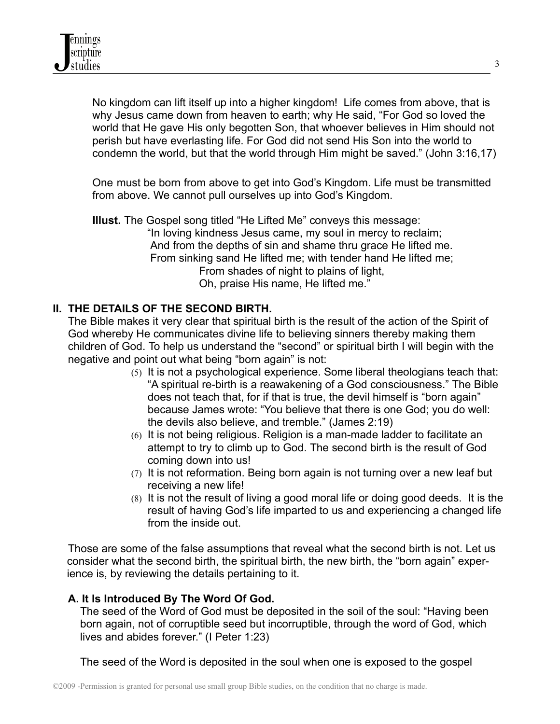No kingdom can lift itself up into a higher kingdom! Life comes from above, that is why Jesus came down from heaven to earth; why He said, "For God so loved the world that He gave His only begotten Son, that whoever believes in Him should not perish but have everlasting life. For God did not send His Son into the world to condemn the world, but that the world through Him might be saved." (John 3:16,17)

One must be born from above to get into God's Kingdom. Life must be transmitted from above. We cannot pull ourselves up into God's Kingdom.

**Illust.** The Gospel song titled "He Lifted Me" conveys this message: "In loving kindness Jesus came, my soul in mercy to reclaim; And from the depths of sin and shame thru grace He lifted me. From sinking sand He lifted me; with tender hand He lifted me; From shades of night to plains of light, Oh, praise His name, He lifted me."

# **II. THE DETAILS OF THE SECOND BIRTH.**

The Bible makes it very clear that spiritual birth is the result of the action of the Spirit of God whereby He communicates divine life to believing sinners thereby making them children of God. To help us understand the "second" or spiritual birth I will begin with the negative and point out what being "born again" is not:

- (5) It is not a psychological experience. Some liberal theologians teach that: "A spiritual re-birth is a reawakening of a God consciousness." The Bible does not teach that, for if that is true, the devil himself is "born again" because James wrote: "You believe that there is one God; you do well: the devils also believe, and tremble." (James 2:19)
- (6) It is not being religious. Religion is a man-made ladder to facilitate an attempt to try to climb up to God. The second birth is the result of God coming down into us!
- (7) It is not reformation. Being born again is not turning over a new leaf but receiving a new life!
- (8) It is not the result of living a good moral life or doing good deeds. It is the result of having God's life imparted to us and experiencing a changed life from the inside out.

Those are some of the false assumptions that reveal what the second birth is not. Let us consider what the second birth, the spiritual birth, the new birth, the "born again" experience is, by reviewing the details pertaining to it.

# **A. It Is Introduced By The Word Of God.**

The seed of the Word of God must be deposited in the soil of the soul: "Having been born again, not of corruptible seed but incorruptible, through the word of God, which lives and abides forever." (I Peter 1:23)

The seed of the Word is deposited in the soul when one is exposed to the gospel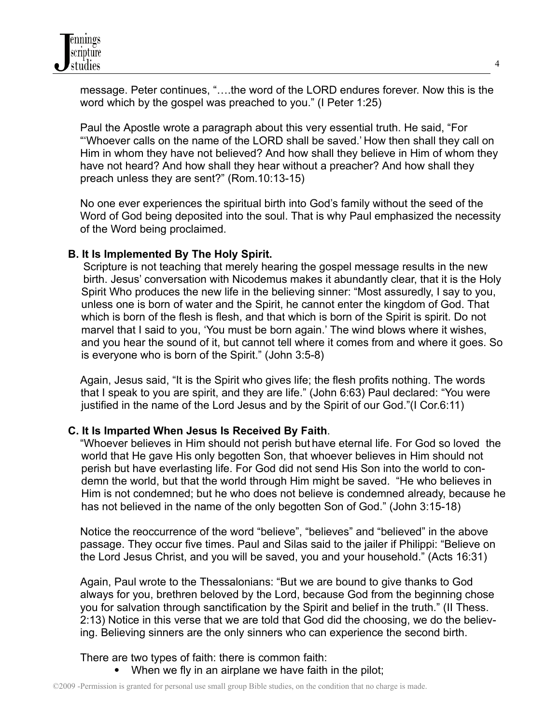

message. Peter continues, "….the word of the LORD endures forever. Now this is the word which by the gospel was preached to you." (I Peter 1:25)

Paul the Apostle wrote a paragraph about this very essential truth. He said, "For "'Whoever calls on the name of the LORD shall be saved.' How then shall they call on Him in whom they have not believed? And how shall they believe in Him of whom they have not heard? And how shall they hear without a preacher? And how shall they preach unless they are sent?" (Rom.10:13-15)

No one ever experiences the spiritual birth into God's family without the seed of the Word of God being deposited into the soul. That is why Paul emphasized the necessity of the Word being proclaimed.

#### **B. It Is Implemented By The Holy Spirit.**

Scripture is not teaching that merely hearing the gospel message results in the new birth. Jesus' conversation with Nicodemus makes it abundantly clear, that it is the Holy Spirit Who produces the new life in the believing sinner: "Most assuredly, I say to you, unless one is born of water and the Spirit, he cannot enter the kingdom of God. That which is born of the flesh is flesh, and that which is born of the Spirit is spirit. Do not marvel that I said to you, 'You must be born again.' The wind blows where it wishes, and you hear the sound of it, but cannot tell where it comes from and where it goes. So is everyone who is born of the Spirit." (John 3:5-8)

Again, Jesus said, "It is the Spirit who gives life; the flesh profits nothing. The words that I speak to you are spirit, and they are life." (John 6:63) Paul declared: "You were justified in the name of the Lord Jesus and by the Spirit of our God."(I Cor.6:11)

### **C. It Is Imparted When Jesus Is Received By Faith**.

"Whoever believes in Him should not perish but have eternal life. For God so loved the world that He gave His only begotten Son, that whoever believes in Him should not perish but have everlasting life. For God did not send His Son into the world to condemn the world, but that the world through Him might be saved. "He who believes in Him is not condemned; but he who does not believe is condemned already, because he has not believed in the name of the only begotten Son of God." (John 3:15-18)

Notice the reoccurrence of the word "believe", "believes" and "believed" in the above passage. They occur five times. Paul and Silas said to the jailer if Philippi: "Believe on the Lord Jesus Christ, and you will be saved, you and your household." (Acts 16:31)

Again, Paul wrote to the Thessalonians: "But we are bound to give thanks to God always for you, brethren beloved by the Lord, because God from the beginning chose you for salvation through sanctification by the Spirit and belief in the truth." (II Thess. 2:13) Notice in this verse that we are told that God did the choosing, we do the believing. Believing sinners are the only sinners who can experience the second birth.

There are two types of faith: there is common faith:

• When we fly in an airplane we have faith in the pilot;